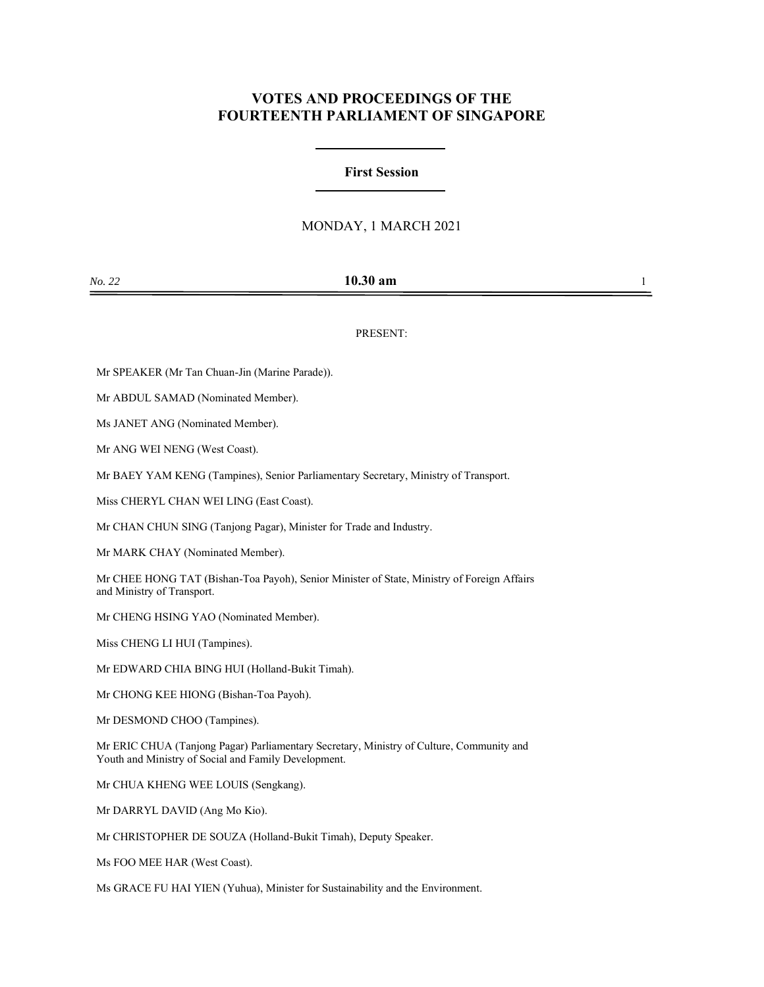# **VOTES AND PROCEEDINGS OF THE FOURTEENTH PARLIAMENT OF SINGAPORE**

## **First Session**

## MONDAY, 1 MARCH 2021

PRESENT:

Mr SPEAKER (Mr Tan Chuan-Jin (Marine Parade)).

Mr ABDUL SAMAD (Nominated Member).

Ms JANET ANG (Nominated Member).

Mr ANG WEI NENG (West Coast).

Mr BAEY YAM KENG (Tampines), Senior Parliamentary Secretary, Ministry of Transport.

Miss CHERYL CHAN WEI LING (East Coast).

Mr CHAN CHUN SING (Tanjong Pagar), Minister for Trade and Industry.

Mr MARK CHAY (Nominated Member).

Mr CHEE HONG TAT (Bishan-Toa Payoh), Senior Minister of State, Ministry of Foreign Affairs and Ministry of Transport.

Mr CHENG HSING YAO (Nominated Member).

Miss CHENG LI HUI (Tampines).

Mr EDWARD CHIA BING HUI (Holland-Bukit Timah).

Mr CHONG KEE HIONG (Bishan-Toa Payoh).

Mr DESMOND CHOO (Tampines).

Mr ERIC CHUA (Tanjong Pagar) Parliamentary Secretary, Ministry of Culture, Community and Youth and Ministry of Social and Family Development.

Mr CHUA KHENG WEE LOUIS (Sengkang).

Mr DARRYL DAVID (Ang Mo Kio).

Mr CHRISTOPHER DE SOUZA (Holland-Bukit Timah), Deputy Speaker.

Ms FOO MEE HAR (West Coast).

Ms GRACE FU HAI YIEN (Yuhua), Minister for Sustainability and the Environment.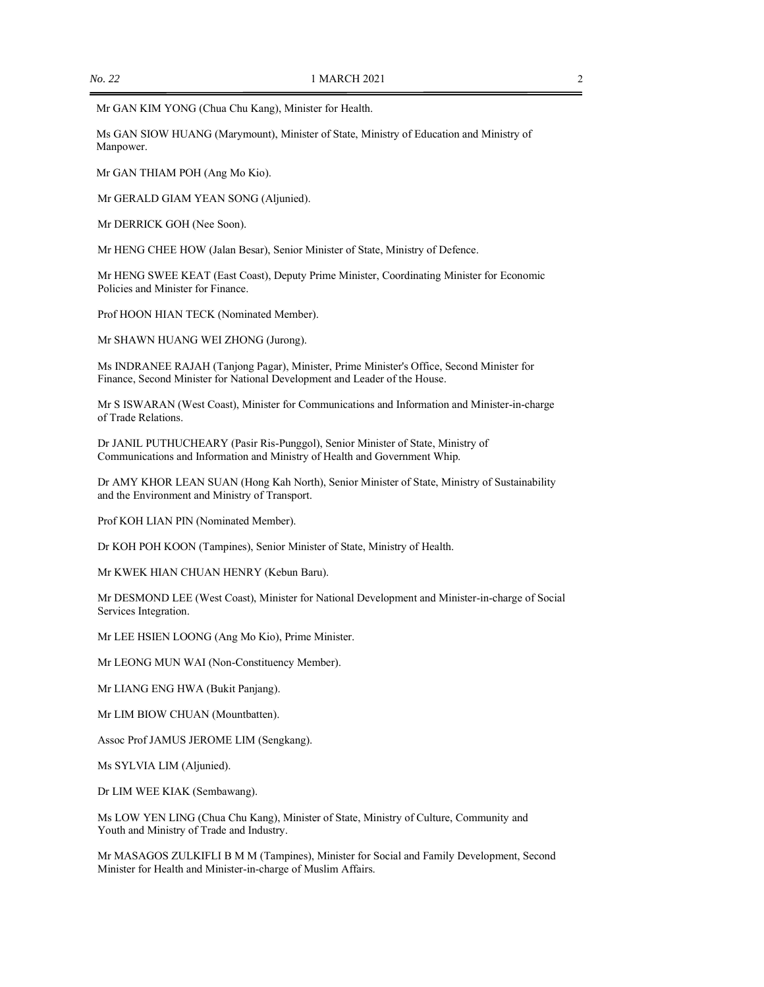Mr GAN KIM YONG (Chua Chu Kang), Minister for Health.

Ms GAN SIOW HUANG (Marymount), Minister of State, Ministry of Education and Ministry of Manpower.

Mr GAN THIAM POH (Ang Mo Kio).

Mr GERALD GIAM YEAN SONG (Aljunied).

Mr DERRICK GOH (Nee Soon).

Mr HENG CHEE HOW (Jalan Besar), Senior Minister of State, Ministry of Defence.

Mr HENG SWEE KEAT (East Coast), Deputy Prime Minister, Coordinating Minister for Economic Policies and Minister for Finance.

Prof HOON HIAN TECK (Nominated Member).

Mr SHAWN HUANG WEI ZHONG (Jurong).

Ms INDRANEE RAJAH (Tanjong Pagar), Minister, Prime Minister's Office, Second Minister for Finance, Second Minister for National Development and Leader of the House.

Mr S ISWARAN (West Coast), Minister for Communications and Information and Minister-in-charge of Trade Relations.

Dr JANIL PUTHUCHEARY (Pasir Ris-Punggol), Senior Minister of State, Ministry of Communications and Information and Ministry of Health and Government Whip.

Dr AMY KHOR LEAN SUAN (Hong Kah North), Senior Minister of State, Ministry of Sustainability and the Environment and Ministry of Transport.

Prof KOH LIAN PIN (Nominated Member).

Dr KOH POH KOON (Tampines), Senior Minister of State, Ministry of Health.

Mr KWEK HIAN CHUAN HENRY (Kebun Baru).

Mr DESMOND LEE (West Coast), Minister for National Development and Minister-in-charge of Social Services Integration.

Mr LEE HSIEN LOONG (Ang Mo Kio), Prime Minister.

Mr LEONG MUN WAI (Non-Constituency Member).

Mr LIANG ENG HWA (Bukit Panjang).

Mr LIM BIOW CHUAN (Mountbatten).

Assoc Prof JAMUS JEROME LIM (Sengkang).

Ms SYLVIA LIM (Aljunied).

Dr LIM WEE KIAK (Sembawang).

Ms LOW YEN LING (Chua Chu Kang), Minister of State, Ministry of Culture, Community and Youth and Ministry of Trade and Industry.

Mr MASAGOS ZULKIFLI B M M (Tampines), Minister for Social and Family Development, Second Minister for Health and Minister-in-charge of Muslim Affairs.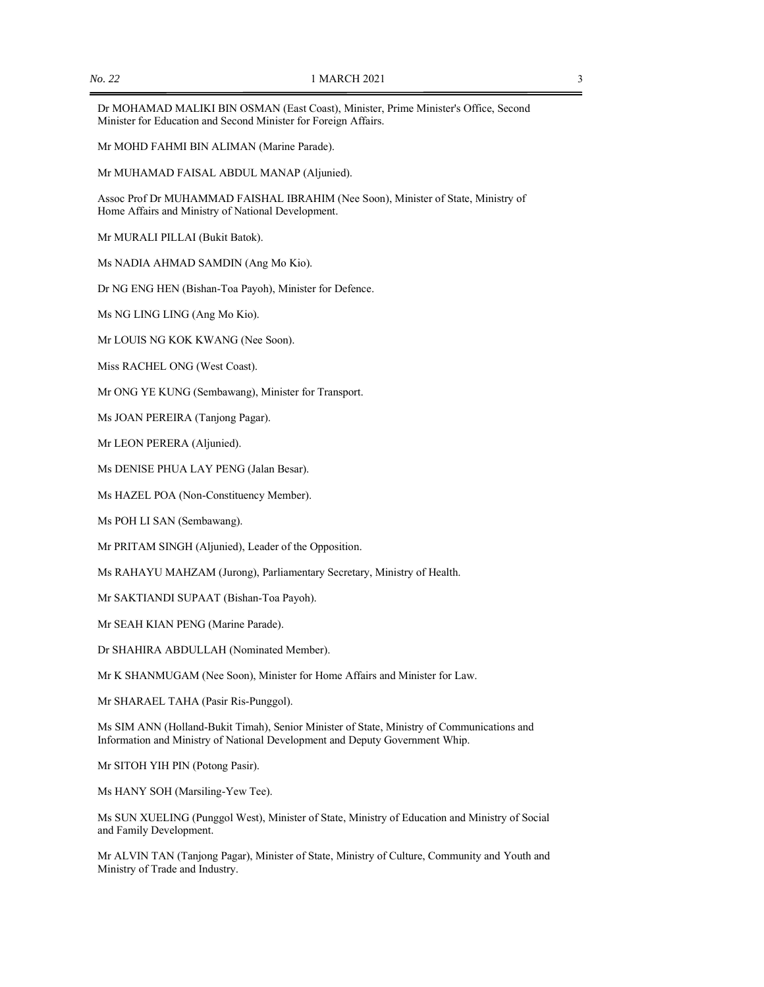Dr MOHAMAD MALIKI BIN OSMAN (East Coast), Minister, Prime Minister's Office, Second Minister for Education and Second Minister for Foreign Affairs.

Mr MOHD FAHMI BIN ALIMAN (Marine Parade).

Mr MUHAMAD FAISAL ABDUL MANAP (Aljunied).

Assoc Prof Dr MUHAMMAD FAISHAL IBRAHIM (Nee Soon), Minister of State, Ministry of Home Affairs and Ministry of National Development.

Mr MURALI PILLAI (Bukit Batok).

Ms NADIA AHMAD SAMDIN (Ang Mo Kio).

Dr NG ENG HEN (Bishan-Toa Payoh), Minister for Defence.

Ms NG LING LING (Ang Mo Kio).

Mr LOUIS NG KOK KWANG (Nee Soon).

Miss RACHEL ONG (West Coast).

Mr ONG YE KUNG (Sembawang), Minister for Transport.

Ms JOAN PEREIRA (Tanjong Pagar).

Mr LEON PERERA (Aljunied).

Ms DENISE PHUA LAY PENG (Jalan Besar).

Ms HAZEL POA (Non-Constituency Member).

Ms POH LI SAN (Sembawang).

Mr PRITAM SINGH (Aljunied), Leader of the Opposition.

Ms RAHAYU MAHZAM (Jurong), Parliamentary Secretary, Ministry of Health.

Mr SAKTIANDI SUPAAT (Bishan-Toa Payoh).

Mr SEAH KIAN PENG (Marine Parade).

Dr SHAHIRA ABDULLAH (Nominated Member).

Mr K SHANMUGAM (Nee Soon), Minister for Home Affairs and Minister for Law.

Mr SHARAEL TAHA (Pasir Ris-Punggol).

Ms SIM ANN (Holland-Bukit Timah), Senior Minister of State, Ministry of Communications and Information and Ministry of National Development and Deputy Government Whip.

Mr SITOH YIH PIN (Potong Pasir).

Ms HANY SOH (Marsiling-Yew Tee).

Ms SUN XUELING (Punggol West), Minister of State, Ministry of Education and Ministry of Social and Family Development.

Mr ALVIN TAN (Tanjong Pagar), Minister of State, Ministry of Culture, Community and Youth and Ministry of Trade and Industry.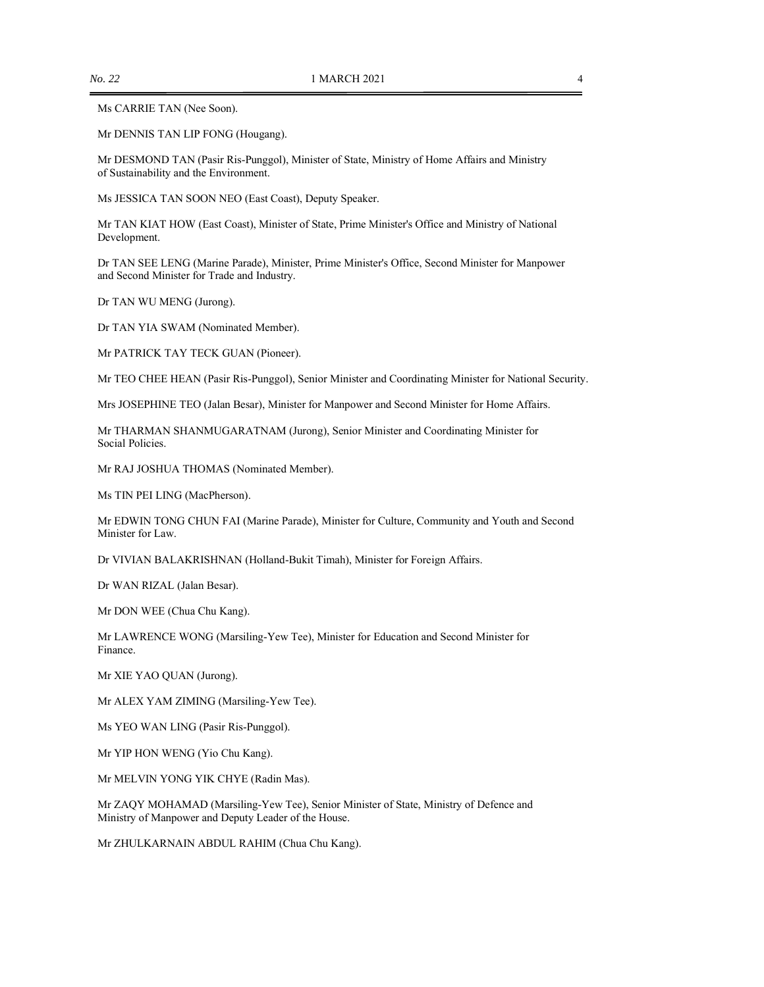#### Ms CARRIE TAN (Nee Soon).

Mr DENNIS TAN LIP FONG (Hougang).

Mr DESMOND TAN (Pasir Ris-Punggol), Minister of State, Ministry of Home Affairs and Ministry of Sustainability and the Environment.

Ms JESSICA TAN SOON NEO (East Coast), Deputy Speaker.

Mr TAN KIAT HOW (East Coast), Minister of State, Prime Minister's Office and Ministry of National Development.

Dr TAN SEE LENG (Marine Parade), Minister, Prime Minister's Office, Second Minister for Manpower and Second Minister for Trade and Industry.

Dr TAN WU MENG (Jurong).

Dr TAN YIA SWAM (Nominated Member).

Mr PATRICK TAY TECK GUAN (Pioneer).

Mr TEO CHEE HEAN (Pasir Ris-Punggol), Senior Minister and Coordinating Minister for National Security.

Mrs JOSEPHINE TEO (Jalan Besar), Minister for Manpower and Second Minister for Home Affairs.

Mr THARMAN SHANMUGARATNAM (Jurong), Senior Minister and Coordinating Minister for Social Policies.

Mr RAJ JOSHUA THOMAS (Nominated Member).

Ms TIN PEI LING (MacPherson).

Mr EDWIN TONG CHUN FAI (Marine Parade), Minister for Culture, Community and Youth and Second Minister for Law.

Dr VIVIAN BALAKRISHNAN (Holland-Bukit Timah), Minister for Foreign Affairs.

Dr WAN RIZAL (Jalan Besar).

Mr DON WEE (Chua Chu Kang).

Mr LAWRENCE WONG (Marsiling-Yew Tee), Minister for Education and Second Minister for Finance.

Mr XIE YAO QUAN (Jurong).

Mr ALEX YAM ZIMING (Marsiling-Yew Tee).

Ms YEO WAN LING (Pasir Ris-Punggol).

Mr YIP HON WENG (Yio Chu Kang).

Mr MELVIN YONG YIK CHYE (Radin Mas).

Mr ZAQY MOHAMAD (Marsiling-Yew Tee), Senior Minister of State, Ministry of Defence and Ministry of Manpower and Deputy Leader of the House.

Mr ZHULKARNAIN ABDUL RAHIM (Chua Chu Kang).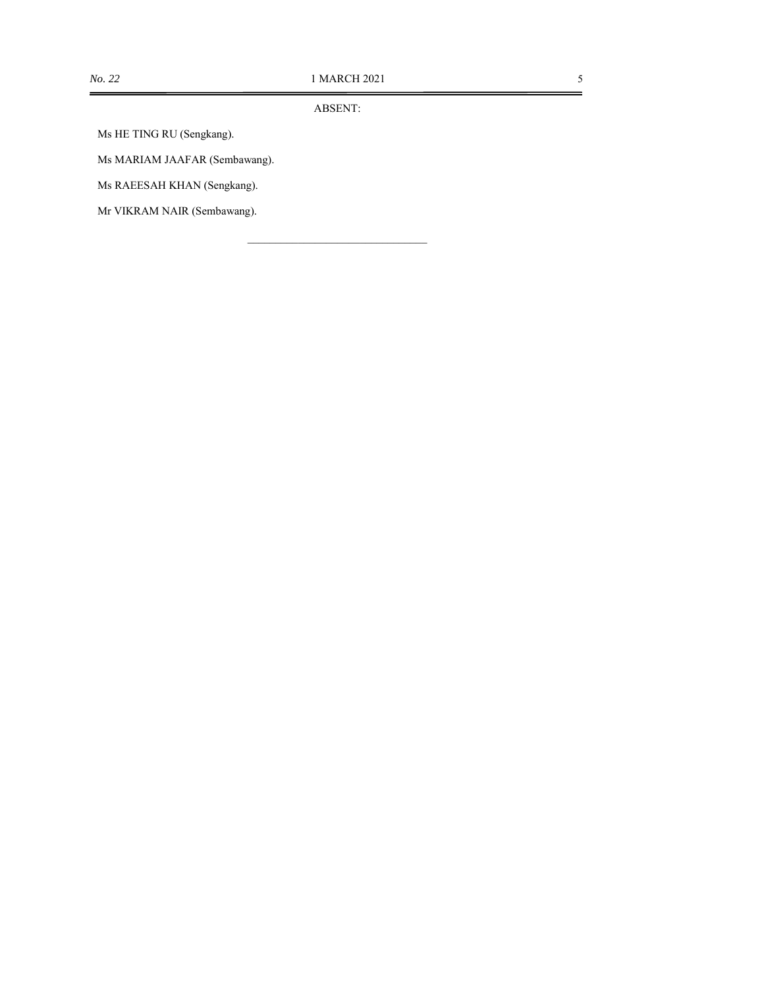ABSENT:

Ms HE TING RU (Sengkang).

Ms MARIAM JAAFAR (Sembawang).

Ms RAEESAH KHAN (Sengkang).

Mr VIKRAM NAIR (Sembawang).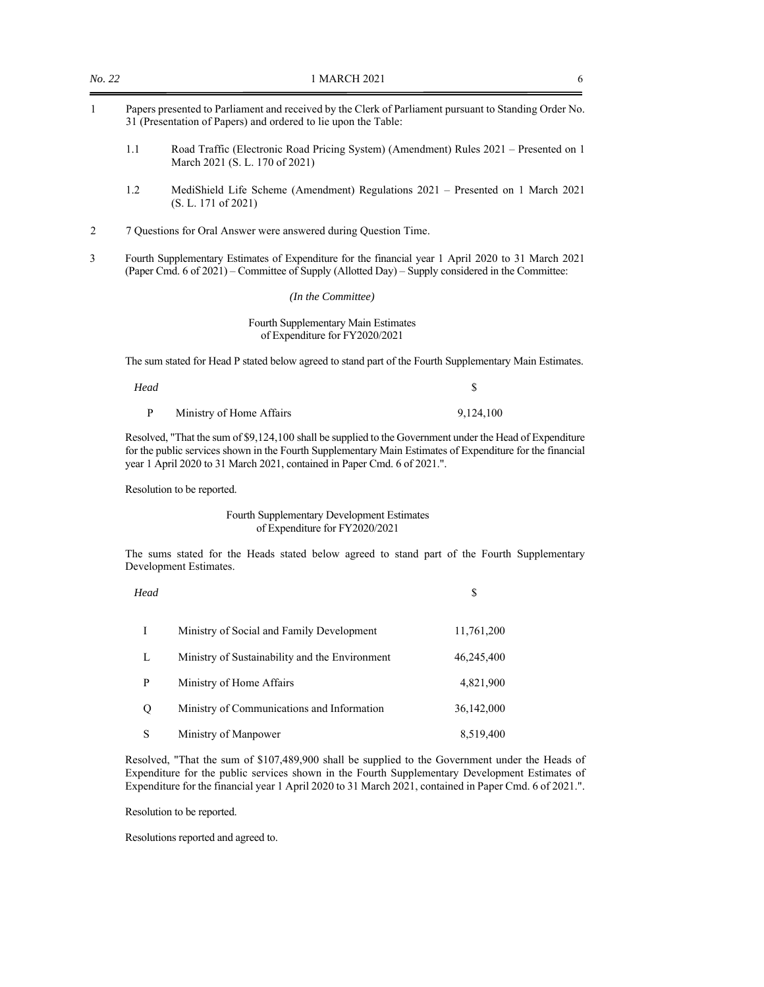| 1 | Papers presented to Parliament and received by the Clerk of Parliament pursuant to Standing Order No.<br>31 (Presentation of Papers) and ordered to lie upon the Table: |                                                                                                                         |  |
|---|-------------------------------------------------------------------------------------------------------------------------------------------------------------------------|-------------------------------------------------------------------------------------------------------------------------|--|
|   | 1.1                                                                                                                                                                     | Road Traffic (Electronic Road Pricing System) (Amendment) Rules 2021 – Presented on 1<br>March 2021 (S. L. 170 of 2021) |  |
|   | 1.2                                                                                                                                                                     | MediShield Life Scheme (Amendment) Regulations 2021 – Presented on 1 March 2021<br>(S. L. 171 of 2021)                  |  |
|   |                                                                                                                                                                         | 7 Ouestions for Oral Answer were answered during Ouestion Time.                                                         |  |

*No.* 22 1 MARCH 2021 6

3 Fourth Supplementary Estimates of Expenditure for the financial year 1 April 2020 to 31 March 2021 (Paper Cmd. 6 of 2021) – Committee of Supply (Allotted Day) – Supply considered in the Committee:

*(In the Committee)* 

Fourth Supplementary Main Estimates of Expenditure for FY2020/2021

The sum stated for Head P stated below agreed to stand part of the Fourth Supplementary Main Estimates.

*Head*  $\qquad \qquad$  5 P Ministry of Home Affairs 9,124,100

Resolved, "That the sum of \$9,124,100 shall be supplied to the Government under the Head of Expenditure for the public services shown in the Fourth Supplementary Main Estimates of Expenditure for the financial year 1 April 2020 to 31 March 2021, contained in Paper Cmd. 6 of 2021.".

Resolution to be reported.

### Fourth Supplementary Development Estimates of Expenditure for FY2020/2021

 The sums stated for the Heads stated below agreed to stand part of the Fourth Supplementary Development Estimates.

*Head*  $\sim$ 

| $\mathbf{I}$ | Ministry of Social and Family Development      | 11,761,200 |
|--------------|------------------------------------------------|------------|
| L            | Ministry of Sustainability and the Environment | 46,245,400 |
| P            | Ministry of Home Affairs                       | 4,821,900  |
| $\circ$      | Ministry of Communications and Information     | 36,142,000 |
| S            | Ministry of Manpower                           | 8,519,400  |

Resolved, "That the sum of \$107,489,900 shall be supplied to the Government under the Heads of Expenditure for the public services shown in the Fourth Supplementary Development Estimates of Expenditure for the financial year 1 April 2020 to 31 March 2021, contained in Paper Cmd. 6 of 2021.".

Resolution to be reported.

Resolutions reported and agreed to.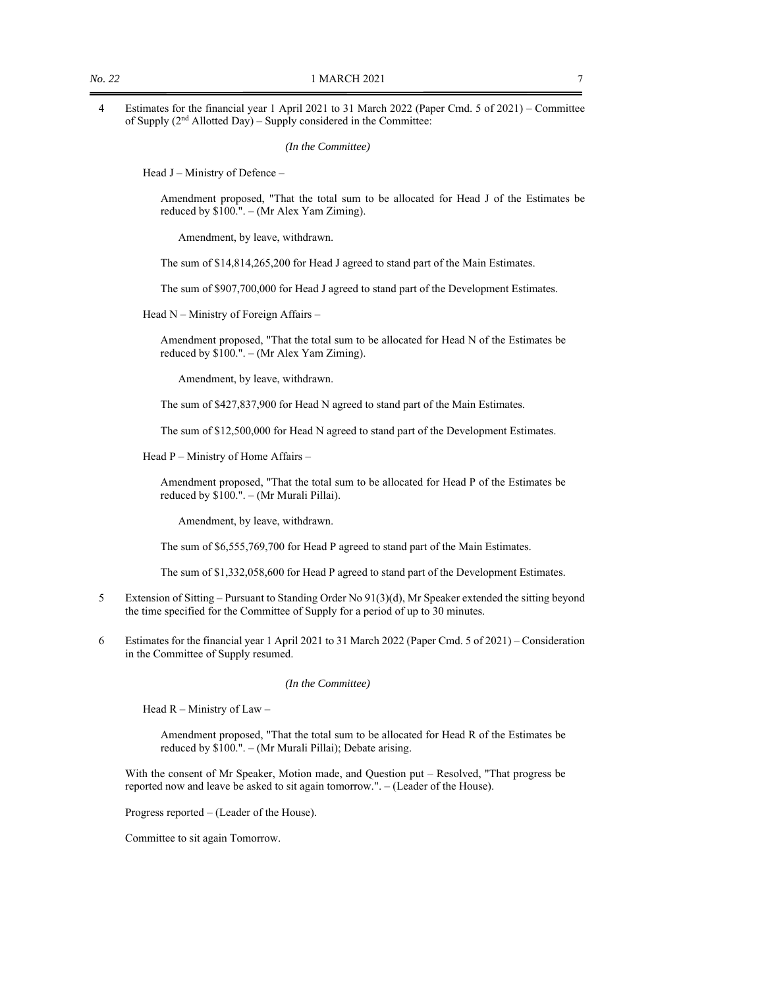4 Estimates for the financial year 1 April 2021 to 31 March 2022 (Paper Cmd. 5 of 2021) – Committee of Supply (2nd Allotted Day) – Supply considered in the Committee:

*(In the Committee)* 

Head J – Ministry of Defence –

Amendment proposed, "That the total sum to be allocated for Head J of the Estimates be reduced by \$100.". – (Mr Alex Yam Ziming).

Amendment, by leave, withdrawn.

The sum of \$14,814,265,200 for Head J agreed to stand part of the Main Estimates.

The sum of \$907,700,000 for Head J agreed to stand part of the Development Estimates.

Head N – Ministry of Foreign Affairs –

Amendment proposed, "That the total sum to be allocated for Head N of the Estimates be reduced by \$100.". – (Mr Alex Yam Ziming).

Amendment, by leave, withdrawn.

The sum of \$427,837,900 for Head N agreed to stand part of the Main Estimates.

The sum of \$12,500,000 for Head N agreed to stand part of the Development Estimates.

Head P – Ministry of Home Affairs –

Amendment proposed, "That the total sum to be allocated for Head P of the Estimates be reduced by \$100.". – (Mr Murali Pillai).

Amendment, by leave, withdrawn.

The sum of \$6,555,769,700 for Head P agreed to stand part of the Main Estimates.

The sum of \$1,332,058,600 for Head P agreed to stand part of the Development Estimates.

- 5 Extension of Sitting Pursuant to Standing Order No 91(3)(d), Mr Speaker extended the sitting beyond the time specified for the Committee of Supply for a period of up to 30 minutes.
- 6 Estimates for the financial year 1 April 2021 to 31 March 2022 (Paper Cmd. 5 of 2021) Consideration in the Committee of Supply resumed.

#### *(In the Committee)*

Head R – Ministry of Law –

Amendment proposed, "That the total sum to be allocated for Head R of the Estimates be reduced by \$100.". – (Mr Murali Pillai); Debate arising.

With the consent of Mr Speaker, Motion made, and Question put – Resolved, "That progress be reported now and leave be asked to sit again tomorrow.". – (Leader of the House).

Progress reported – (Leader of the House).

Committee to sit again Tomorrow.